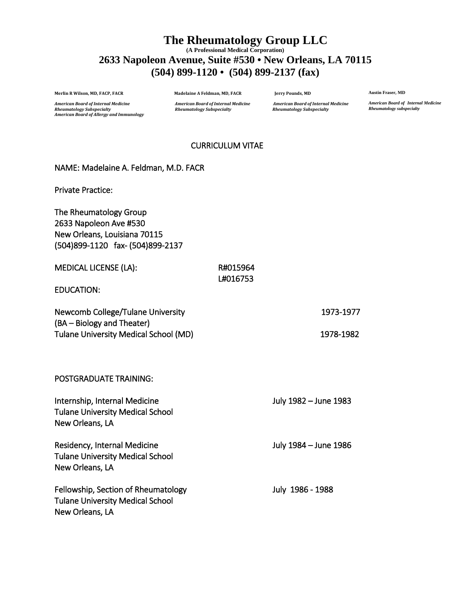# **The Rheumatology Group LLC (A Professional Medical Corporation) 2633 Napoleon Avenue, Suite #530 • New Orleans, LA 70115 (504) 899-1120 • (504) 899-2137 (fax)**

**Merlin R Wilson, MD, FACP, FACR Madelaine A Feldman, MD, FACR Jerry Pounds, MD**

**Austin Fraser, MD**

*American Board of Internal Medicine Rheumatology subspecialty*

**American Board of Internal Medicine** *Rheumatology Subspecialty Rheumatology Subspecialty Rheumatology Subspecialty American Board of Allergy and Immunology*

*American Board of Internal Medicine American Board of Internal Medicine American Board of Internal Medicine*

### CURRICULUM VITAE

### NAME: Madelaine A. Feldman, M.D. FACR

Private Practice:

The Rheumatology Group 2633 Napoleon Ave #530 New Orleans, Louisiana 70115 (504)899-1120 fax- (504)899-2137

| <b>MEDICAL LICENSE (LA):</b> | R#015964 |
|------------------------------|----------|
|                              | L#016753 |

EDUCATION:

| Newcomb College/Tulane University     | 1973-1977 |
|---------------------------------------|-----------|
| (BA – Biology and Theater)            |           |
| Tulane University Medical School (MD) | 1978-1982 |

POSTGRADUATE TRAINING: Internship, Internal Medicine July 1982 – June 1983 Tulane University Medical School New Orleans, LA Residency, Internal Medicine July 1984 – June 1986 Tulane University Medical School New Orleans, LA Fellowship, Section of Rheumatology Fellowship, Section of Rheumatology Tulane University Medical School New Orleans, LA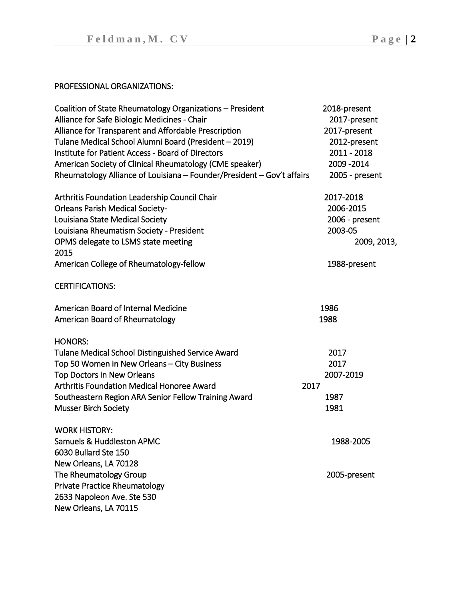## PROFESSIONAL ORGANIZATIONS:

| Coalition of State Rheumatology Organizations - President              | 2018-present   |
|------------------------------------------------------------------------|----------------|
| Alliance for Safe Biologic Medicines - Chair                           | 2017-present   |
| Alliance for Transparent and Affordable Prescription                   | 2017-present   |
| Tulane Medical School Alumni Board (President - 2019)                  | 2012-present   |
| Institute for Patient Access - Board of Directors                      | 2011 - 2018    |
| American Society of Clinical Rheumatology (CME speaker)                | 2009 - 2014    |
| Rheumatology Alliance of Louisiana - Founder/President - Gov't affairs | 2005 - present |
| Arthritis Foundation Leadership Council Chair                          | 2017-2018      |
| <b>Orleans Parish Medical Society-</b>                                 | 2006-2015      |
| Louisiana State Medical Society                                        | 2006 - present |
| Louisiana Rheumatism Society - President                               | 2003-05        |
| OPMS delegate to LSMS state meeting<br>2015                            | 2009, 2013,    |
| American College of Rheumatology-fellow                                | 1988-present   |
| <b>CERTIFICATIONS:</b>                                                 |                |
| American Board of Internal Medicine                                    | 1986           |
| American Board of Rheumatology                                         | 1988           |
| <b>HONORS:</b>                                                         |                |
| Tulane Medical School Distinguished Service Award                      | 2017           |
| Top 50 Women in New Orleans - City Business                            | 2017           |
| <b>Top Doctors in New Orleans</b>                                      | 2007-2019      |
| Arthritis Foundation Medical Honoree Award                             | 2017           |
| Southeastern Region ARA Senior Fellow Training Award                   | 1987           |
| <b>Musser Birch Society</b>                                            | 1981           |
| <b>WORK HISTORY:</b>                                                   |                |
| <b>Samuels &amp; Huddleston APMC</b>                                   | 1988-2005      |
| 6030 Bullard Ste 150                                                   |                |
| New Orleans, LA 70128                                                  |                |
| The Rheumatology Group                                                 | 2005-present   |
| <b>Private Practice Rheumatology</b>                                   |                |
| 2633 Napoleon Ave. Ste 530                                             |                |
| New Orleans, LA 70115                                                  |                |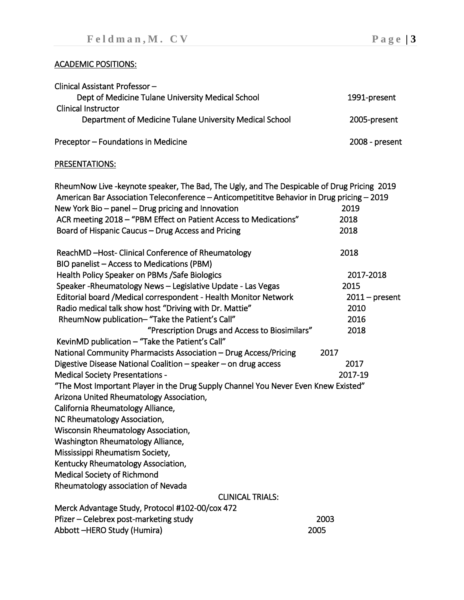# ACADEMIC POSITIONS:

| Clinical Assistant Professor-                           |                  |
|---------------------------------------------------------|------------------|
| Dept of Medicine Tulane University Medical School       | 1991-present     |
| <b>Clinical Instructor</b>                              |                  |
| Department of Medicine Tulane University Medical School | 2005-present     |
|                                                         |                  |
| Preceptor - Foundations in Medicine                     | $2008$ - present |

# PRESENTATIONS:

| RheumNow Live -keynote speaker, The Bad, The Ugly, and The Despicable of Drug Pricing 2019 |                  |
|--------------------------------------------------------------------------------------------|------------------|
| American Bar Association Teleconference - Anticompetititve Behavior in Drug pricing - 2019 |                  |
| New York Bio - panel - Drug pricing and Innovation                                         | 2019             |
| ACR meeting 2018 - "PBM Effect on Patient Access to Medications"                           | 2018             |
| Board of Hispanic Caucus - Drug Access and Pricing                                         | 2018             |
| ReachMD-Host-Clinical Conference of Rheumatology                                           | 2018             |
| BIO panelist - Access to Medications (PBM)                                                 |                  |
| Health Policy Speaker on PBMs /Safe Biologics                                              | 2017-2018        |
| Speaker-Rheumatology News - Legislative Update - Las Vegas                                 | 2015             |
| Editorial board /Medical correspondent - Health Monitor Network                            | $2011$ – present |
| Radio medical talk show host "Driving with Dr. Mattie"                                     | 2010             |
| RheumNow publication- "Take the Patient's Call"                                            | 2016             |
| "Prescription Drugs and Access to Biosimilars"                                             | 2018             |
| KevinMD publication - "Take the Patient's Call"                                            |                  |
| National Community Pharmacists Association - Drug Access/Pricing                           | 2017             |
| Digestive Disease National Coalition - speaker - on drug access                            | 2017             |
| <b>Medical Society Presentations -</b>                                                     | 2017-19          |
| "The Most Important Player in the Drug Supply Channel You Never Even Knew Existed"         |                  |
| Arizona United Rheumatology Association,                                                   |                  |
| California Rheumatology Alliance,                                                          |                  |
| NC Rheumatology Association,                                                               |                  |
| Wisconsin Rheumatology Association,                                                        |                  |
| Washington Rheumatology Alliance,                                                          |                  |
| Mississippi Rheumatism Society,                                                            |                  |
| Kentucky Rheumatology Association,                                                         |                  |
| <b>Medical Society of Richmond</b>                                                         |                  |
| Rheumatology association of Nevada                                                         |                  |
| <b>CLINICAL TRIALS:</b>                                                                    |                  |
| Merck Advantage Study, Protocol #102-00/cox 472                                            |                  |
| Pfizer – Celebrex post-marketing study                                                     | 2003             |
| Abbott-HERO Study (Humira)                                                                 | 2005             |